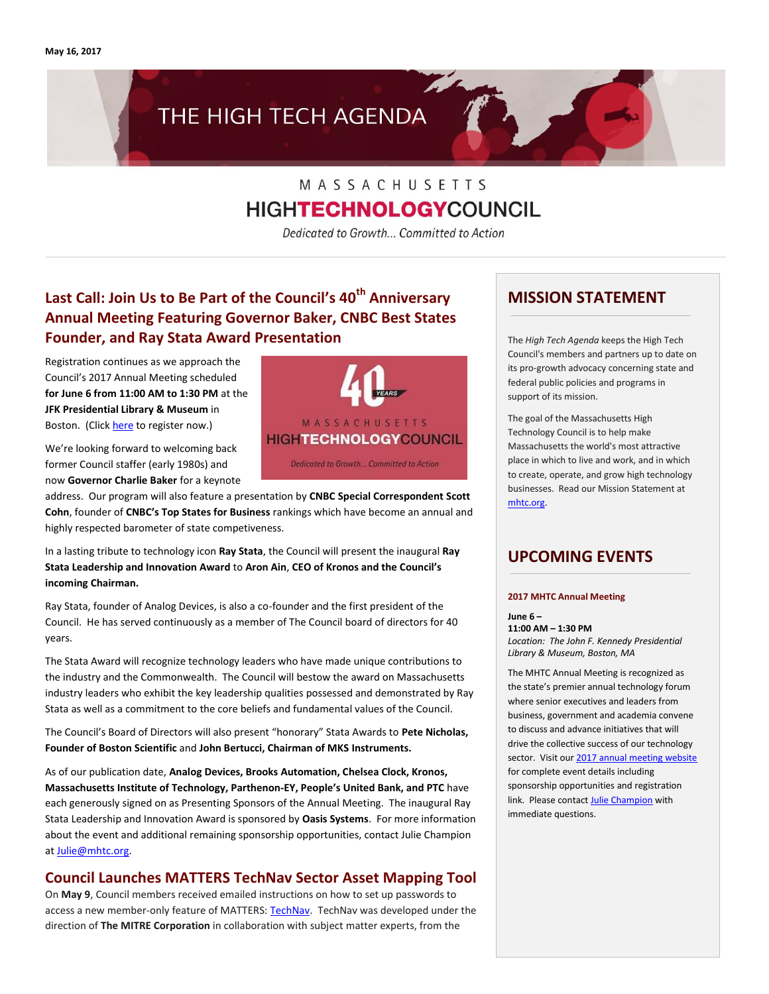# THE HIGH TECH AGENDA

## MASSACHUSETTS **HIGHTECHNOLOGYCOUNCIL**

Dedicated to Growth... Committed to Action

### **Last Call: Join Us to Be Part of the Council's 40th Anniversary Annual Meeting Featuring Governor Baker, CNBC Best States Founder, and Ray Stata Award Presentation**

Registration continues as we approach the Council's 2017 Annual Meeting scheduled **for June 6 from 11:00 AM to 1:30 PM** at the **JFK Presidential Library & Museum** in Boston. (Clic[k here](https://mhtc-events-2017-annual-meeting-06062017.eventbrite.com/) to register now.)

We're looking forward to welcoming back former Council staffer (early 1980s) and now **Governor Charlie Baker** for a keynote



address. Our program will also feature a presentation by **CNBC Special Correspondent Scott Cohn**, founder of **CNBC's Top States for Business** rankings which have become an annual and highly respected barometer of state competiveness.

In a lasting tribute to technology icon **Ray Stata**, the Council will present the inaugural **Ray Stata Leadership and Innovation Award** to **Aron Ain**, **CEO of Kronos and the Council's incoming Chairman.**

Ray Stata, founder of Analog Devices, is also a co-founder and the first president of the Council. He has served continuously as a member of The Council board of directors for 40 years.

The Stata Award will recognize technology leaders who have made unique contributions to the industry and the Commonwealth. The Council will bestow the award on Massachusetts industry leaders who exhibit the key leadership qualities possessed and demonstrated by Ray Stata as well as a commitment to the core beliefs and fundamental values of the Council.

The Council's Board of Directors will also present "honorary" Stata Awards to **Pete Nicholas, Founder of Boston Scientific** and **John Bertucci, Chairman of MKS Instruments.**

As of our publication date, **Analog Devices, Brooks Automation, Chelsea Clock, Kronos, Massachusetts Institute of Technology, Parthenon-EY, People's United Bank, and PTC** have each generously signed on as Presenting Sponsors of the Annual Meeting. The inaugural Ray Stata Leadership and Innovation Award is sponsored by **Oasis Systems**. For more information about the event and additional remaining sponsorship opportunities, contact Julie Champion a[t Julie@mhtc.org.](mailto:Julie@mhtc.org)

### **Council Launches MATTERS TechNav Sector Asset Mapping Tool**

On **May 9**, Council members received emailed instructions on how to set up passwords to access a new member-only feature of MATTERS[: TechNav.](http://matters.mhtc.org/techNav) TechNav was developed under the direction of **The MITRE Corporation** in collaboration with subject matter experts, from the

### **MISSION STATEMENT**

The *High Tech Agenda* keeps the High Tech Council's members and partners up to date on its pro-growth advocacy concerning state and federal public policies and programs in support of its mission.

The goal of the Massachusetts High Technology Council is to help make Massachusetts the world's most attractive place in which to live and work, and in which to create, operate, and grow high technology businesses. Read our Mission Statement at [mhtc.org.](http://www.mhtc.org/)

### **UPCOMING EVENTS**

#### **2017 MHTC Annual Meeting**

**June 6 – 11:00 AM – 1:30 PM** *Location: The John F. Kennedy Presidential Library & Museum, Boston, MA*

The MHTC Annual Meeting is recognized as the state's premier annual technology forum where senior executives and leaders from business, government and academia convene to discuss and advance initiatives that will drive the collective success of our technology sector. Visit ou[r 2017 annual meeting website](http://www.mhtc.org/?p=161211) for complete event details including sponsorship opportunities and registration link. Please contact **Julie Champion** with immediate questions.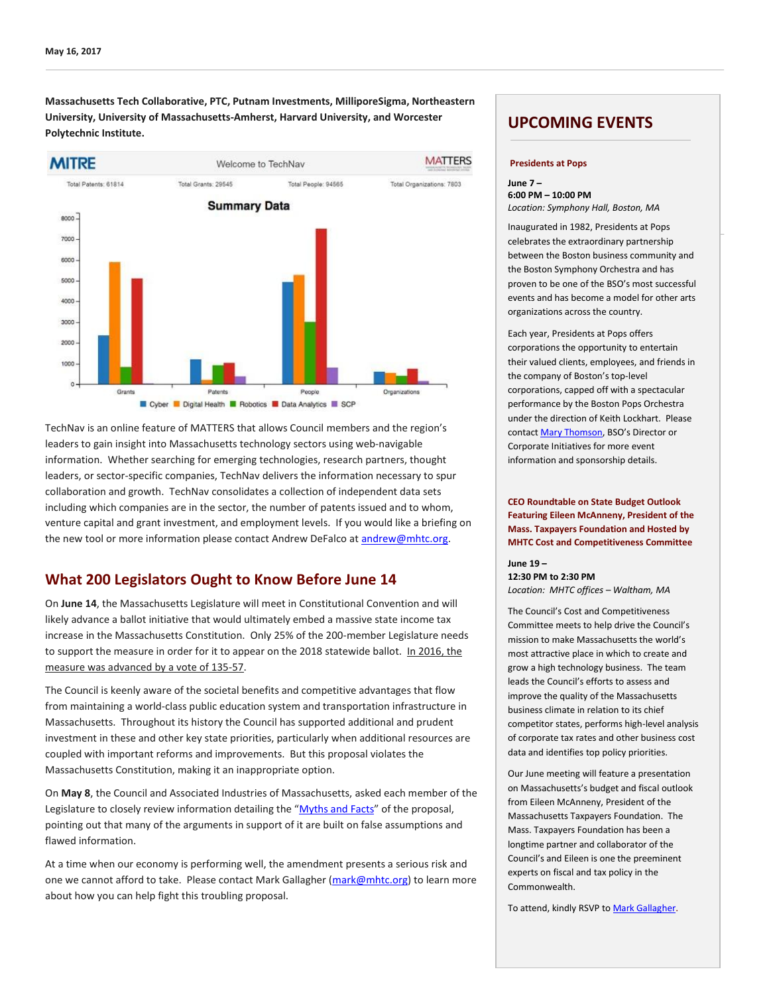**Massachusetts Tech Collaborative, PTC, Putnam Investments, MilliporeSigma, Northeastern University, University of Massachusetts-Amherst, Harvard University, and Worcester Polytechnic Institute.**



TechNav is an online feature of MATTERS that allows Council members and the region's leaders to gain insight into Massachusetts technology sectors using web-navigable information. Whether searching for emerging technologies, research partners, thought leaders, or sector-specific companies, TechNav delivers the information necessary to spur collaboration and growth. TechNav consolidates a collection of independent data sets including which companies are in the sector, the number of patents issued and to whom, venture capital and grant investment, and employment levels. If you would like a briefing on the new tool or more information please contact Andrew DeFalco at [andrew@mhtc.org.](mailto:andrew@mhtc.org)

#### **What 200 Legislators Ought to Know Before June 14**

On **June 14**, the Massachusetts Legislature will meet in Constitutional Convention and will likely advance a ballot initiative that would ultimately embed a massive state income tax increase in the Massachusetts Constitution. Only 25% of the 200-member Legislature needs to support the measure in order for it to appear on the 2018 statewide ballot. In 2016, the measure was advanced by a vote of 135-57.

The Council is keenly aware of the societal benefits and competitive advantages that flow from maintaining a world-class public education system and transportation infrastructure in Massachusetts. Throughout its history the Council has supported additional and prudent investment in these and other key state priorities, particularly when additional resources are coupled with important reforms and improvements. But this proposal violates the Massachusetts Constitution, making it an inappropriate option.

On **May 8**, the Council and Associated Industries of Massachusetts, asked each member of the Legislature to closely review information detailing the "[Myths and Facts](http://www.mhtc.org/wp-content/uploads/2017/05/Const.-Amendment-Myths-and-Facts-Document-5.9.17-FINAL.pdf)" of the proposal, pointing out that many of the arguments in support of it are built on false assumptions and flawed information.

At a time when our economy is performing well, the amendment presents a serious risk and one we cannot afford to take. Please contact Mark Gallagher [\(mark@mhtc.org\)](mailto:mark@mhtc.org) to learn more about how you can help fight this troubling proposal.

### **UPCOMING EVENTS**

#### **Presidents at Pops**

#### **June 7 – 6:00 PM – 10:00 PM** *Location: Symphony Hall, Boston, MA*

**BOARD OF DIRECTORS**  Inaugurated in 1982, Presidents at Pops celebrates the extraordinary partnership between the Boston business community and the Boston Symphony Orchestra and has proven to be one of the BSO's most successful events and has become a model for other arts organizations across the country.

Each year, Presidents at Pops offers Eddit your) inconcents at repositents<br>corporations the opportunity to entertain Stations the opportunity to their valued clients, employees, and friends in the company of Boston's top-level corporations, capped off with a spectacular performance by the Boston Pops Orchestra under the direction of Keith Lockhart. Please contact <u>Mary Thomson</u>, BSO's Director or Corporate Initiatives for more event information and sponsorship details.

#### **CEO Roundtable on State Budget Outlook Featuring Eileen McAnneny, President of the Mass. Taxpayers Foundation and Hosted by MHTC Cost and Competitiveness Committee**

Parthenon-EY **June 19 –** People's United Bank **12:30 PM to 2:30 PM** PTC Putnam Investments *Location: MHTC offices – Waltham, MA*

The Council's Cost and Competitiveness Committee meets to help drive the Council's mission to make Massachusetts the world's most attractive place in which to create and grow a high technology business. The team leads the Council's efforts to assess and improve the quality of the Massachusetts ness climate in relation to its chief competitor states, performs high-level analysis University of Massachusetts System of corporate tax rates and other business cost or corporate tax rates and other basined<br>data and identifies top policy priorities.

Our June meeting will feature a presentation on Massachusetts's budget and fiscal outlook from Eileen McAnneny, President of the Massachusetts Taxpayers Foundation. The Mass. Taxpayers Foundation has been a longtime partner and collaborator of the Council's and Eileen is one the preeminent experts on fiscal and tax policy in the Commonwealth.

To attend, kindly RSVP t[o Mark Gallagher.](http://mail%20to:mark@mhtc.org/)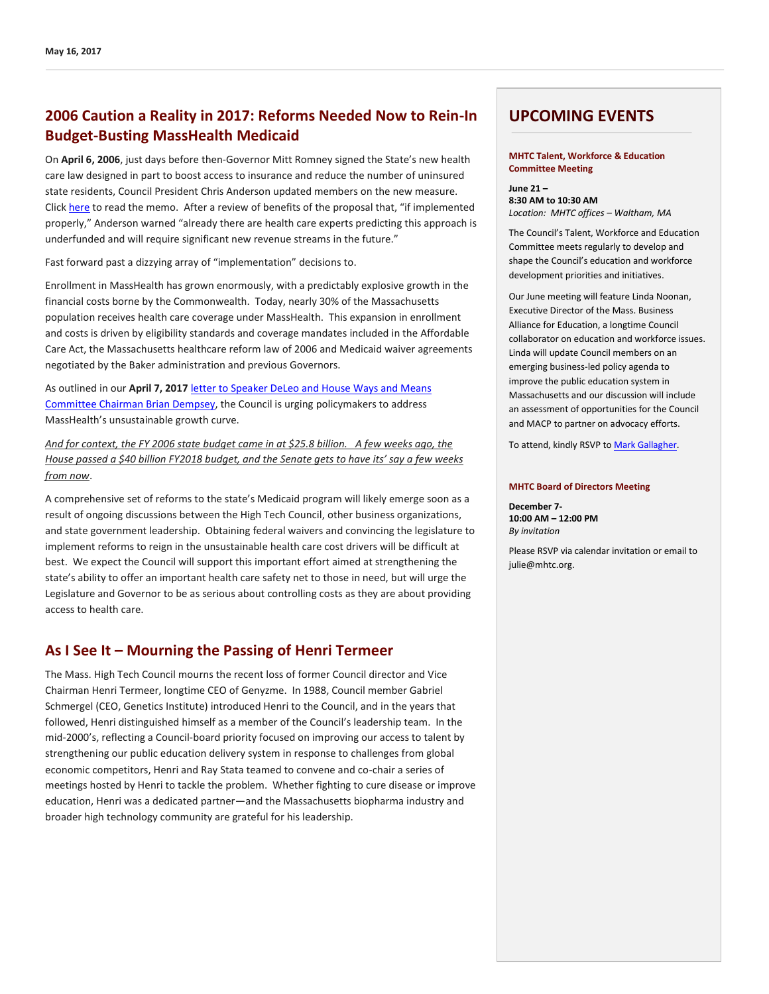### **2006 Caution a Reality in 2017: Reforms Needed Now to Rein-In Budget-Busting MassHealth Medicaid**

On **April 6, 2006**, just days before then-Governor Mitt Romney signed the State's new health care law designed in part to boost access to insurance and reduce the number of uninsured state residents, Council President Chris Anderson updated members on the new measure. Click [here](http://www.mhtc.org/wp-content/uploads/2017/05/MHTCPolicyUpdate_HealthCareReform_04062006.pdf) to read the memo. After a review of benefits of the proposal that, "if implemented properly," Anderson warned "already there are health care experts predicting this approach is underfunded and will require significant new revenue streams in the future."

Fast forward past a dizzying array of "implementation" decisions to.

Enrollment in MassHealth has grown enormously, with a predictably explosive growth in the financial costs borne by the Commonwealth. Today, nearly 30% of the Massachusetts population receives health care coverage under MassHealth. This expansion in enrollment and costs is driven by eligibility standards and coverage mandates included in the Affordable Care Act, the Massachusetts healthcare reform law of 2006 and Medicaid waiver agreements negotiated by the Baker administration and previous Governors.

As outlined in our **April 7, 2017** [letter to Speaker DeLeo and House Ways and Means](http://www.mhtc.org/wp-content/uploads/2017/05/Letter-to-Speaker-and-HWM-re-Employer-Surcharge-FINAL-4.7.17-PDF.pdf)  [Committee Chairman Brian Dempsey,](http://www.mhtc.org/wp-content/uploads/2017/05/Letter-to-Speaker-and-HWM-re-Employer-Surcharge-FINAL-4.7.17-PDF.pdf) the Council is urging policymakers to address MassHealth's unsustainable growth curve.

*And for context, the FY 2006 state budget came in at \$25.8 billion. A few weeks ago, the House passed a \$40 billion FY2018 budget, and the Senate gets to have its' say a few weeks from now*.

A comprehensive set of reforms to the state's Medicaid program will likely emerge soon as a result of ongoing discussions between the High Tech Council, other business organizations, and state government leadership. Obtaining federal waivers and convincing the legislature to implement reforms to reign in the unsustainable health care cost drivers will be difficult at best. We expect the Council will support this important effort aimed at strengthening the state's ability to offer an important health care safety net to those in need, but will urge the Legislature and Governor to be as serious about controlling costs as they are about providing access to health care.

#### **As I See It – Mourning the Passing of Henri Termeer**

The Mass. High Tech Council mourns the recent loss of former Council director and Vice Chairman Henri Termeer, longtime CEO of Genyzme. In 1988, Council member Gabriel Schmergel (CEO, Genetics Institute) introduced Henri to the Council, and in the years that followed, Henri distinguished himself as a member of the Council's leadership team. In the mid-2000's, reflecting a Council-board priority focused on improving our access to talent by strengthening our public education delivery system in response to challenges from global economic competitors, Henri and Ray Stata teamed to convene and co-chair a series of meetings hosted by Henri to tackle the problem. Whether fighting to cure disease or improve education, Henri was a dedicated partner—and the Massachusetts biopharma industry and broader high technology community are grateful for his leadership.

#### **UPCOMING EVENTS**

#### **MHTC Talent, Workforce & Education Committee Meeting**

**June 21 – 8:30 AM to 10:30 AM** *Location: MHTC offices – Waltham, MA*

The Council's Talent, Workforce and Education Committee meets regularly to develop and shape the Council's education and workforce development priorities and initiatives.

Our June meeting will feature Linda Noonan, Executive Director of the Mass. Business Alliance for Education, a longtime Council collaborator on education and workforce issues. Linda will update Council members on an emerging business-led policy agenda to improve the public education system in Massachusetts and our discussion will include an assessment of opportunities for the Council and MACP to partner on advocacy efforts.

To attend, kindly RSVP t[o Mark Gallagher.](http://mail%20to:mark@mhtc.org/)

#### **MHTC Board of Directors Meeting**

**December 7- 10:00 AM – 12:00 PM** *By invitation*

Please RSVP via calendar invitation or email to julie@mhtc.org.